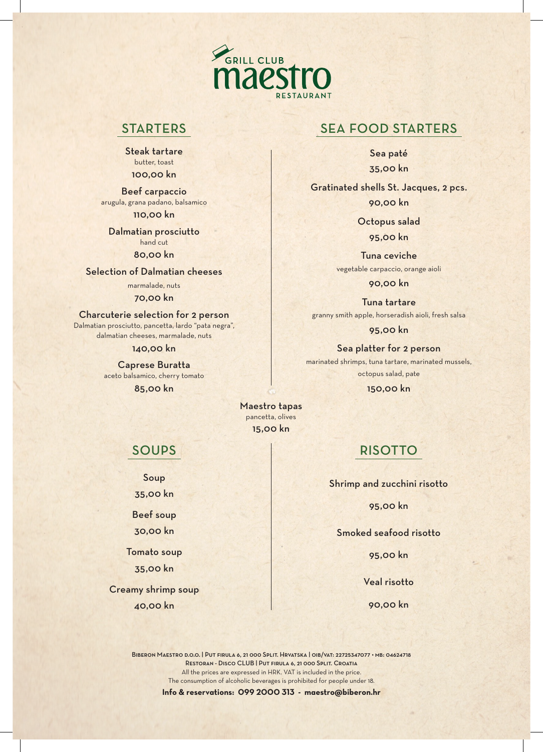

## **STARTERS**

Steak tartare butter, toast 100,00 kn

Beef carpaccio arugula, grana padano, balsamico 110,00 kn

Dalmatian prosciutto hand cut

80,00 kn

Selection of Dalmatian cheeses

marmalade, nuts

70,00 kn

Charcuterie selection for 2 person Dalmatian prosciutto, pancetta, lardo "pata negra", dalmatian cheeses, marmalade, nuts

140,00 kn

Caprese Buratta aceto balsamico, cherry tomato 85,00 kn

## SEA FOOD STARTERS

Sea paté 35,00 kn

Gratinated shells St. Jacques, 2 pcs. 90,00 kn

> Octopus salad 95,00 kn

Tuna ceviche vegetable carpaccio, orange aioli

90,00 kn

Tuna tartare granny smith apple, horseradish aioli, fresh salsa

95,00 kn

Sea platter for 2 person marinated shrimps, tuna tartare, marinated mussels, octopus salad, pate

150,00 kn

Maestro tapas pancetta, olives 15,00 kn

## SOUPS

Soup 35,00 kn

Beef soup

30,00 kn

Tomato soup 35,00 kn

Creamy shrimp soup 40,00 kn

# RISOTTO

Shrimp and zucchini risotto

95,00 kn

Smoked seafood risotto

95,00 kn

Veal risotto

90,00 kn

All the prices are expressed in HRK. VAT is included in the price. The consumption of alcoholic beverages is prohibited for people under 18. Biberon Maestro d.o.o. | Put firula 6, 21 000 Split. Hrvatska | oib/vat: 22725347077 • mb: 04624718 Restoran - Disco CLUB | Put firula 6, 21 000 Split. Croatia

**Info & reservations: 099 2000 313 - maestro@biberon.hr**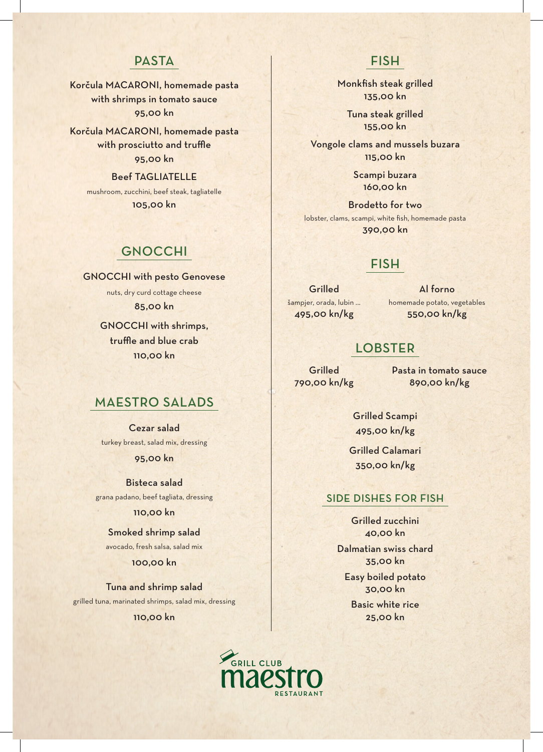# **PASTA**

Korčula MACARONI, homemade pasta with shrimps in tomato sauce 95,00 kn

Korčula MACARONI, homemade pasta with prosciutto and truffle 95,00 kn

Beef TAGLIATELLE mushroom, zucchini, beef steak, tagliatelle 105,00 kn

## GNOCCHI

GNOCCHI with pesto Genovese nuts, dry curd cottage cheese 85,00 kn

> GNOCCHI with shrimps, truffle and blue crab 110,00 kn

## MAESTRO SALADS

Cezar salad turkey breast, salad mix, dressing 95,00 kn

Bisteca salad grana padano, beef tagliata, dressing

#### 110,00 kn

Smoked shrimp salad avocado, fresh salsa, salad mix

#### 100,00 kn

Tuna and shrimp salad grilled tuna, marinated shrimps, salad mix, dressing 110,00 kn

## FISH

Monkfish steak grilled 135,00 kn

> Tuna steak grilled 155,00 kn

Vongole clams and mussels buzara 115,00 kn

> Scampi buzara 160,00 kn

Brodetto for two lobster, clams, scampi, white fish, homemade pasta 390,00 kn

## FISH

**Grilled** šampjer, orada, lubin ... 495,00 kn/kg

Al forno homemade potato, vegetables 550,00 kn/kg

# LOBSTER

**Grilled** 790,00 kn/kg Pasta in tomato sauce 890,00 kn/kg

Grilled Scampi 495,00 kn/kg

Grilled Calamari 350,00 kn/kg

### SIDE DISHES FOR FISH

Grilled zucchini 40,00 kn

Dalmatian swiss chard 35,00 kn

Easy boiled potato 30,00 kn

Basic white rice 25,00 kn

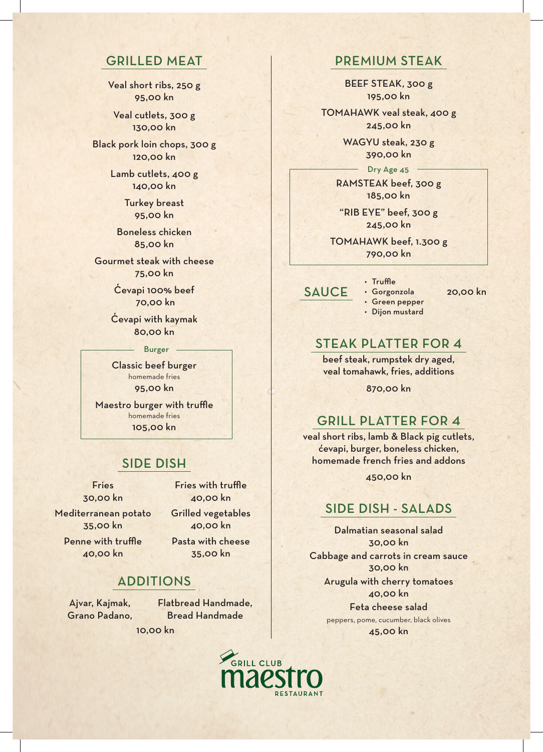## GRILLED MEAT

Veal short ribs, 250 g 95,00 kn

Veal cutlets, 300 g 130,00 kn

Black pork loin chops, 300 g 120,00 kn

> Lamb cutlets, 400 g 140,00 kn

> > Turkey breast 95,00 kn

Boneless chicken 85,00 kn

Gourmet steak with cheese 75,00 kn

> Ćevapi 100% beef 70,00 kn

Ćevapi with kaymak 80,00 kn

#### Burger

Classic beef burger homemade fries 95,00 kn

Maestro burger with truffle homemade fries 105,00 kn

## SIDE DISH

Fries 30,00 kn

Fries with truffle 40,00 kn Grilled vegetables

Mediterranean potato 35,00 kn

Penne with truffle 40,00 kn

Pasta with cheese 35,00 kn

40,00 kn

## ADDITIONS

Ajvar, Kajmak, Grano Padano, Flatbread Handmade, Bread Handmade

10,00 kn

# PREMIUM STEAK

BEEF STEAK, 300 g 195,00 kn

TOMAHAWK veal steak, 400 g 245,00 kn

> WAGYU steak, 230 g 390,00 kn

RAMSTEAK beef, 300 g 185,00 kn Dry Age 45

"RIB EYE" beef, 300 g 245,00 kn

TOMAHAWK beef, 1.300 g 790,00 kn

• Truffle • Gorgonzola

SAUCE · Gorgonzola 20,00 kn

• Green pepper • Dijon mustard

## STEAK PLATTER FOR 4

beef steak, rumpstek dry aged, veal tomahawk, fries, additions

870,00 kn

## GRILL PLATTER FOR 4

veal short ribs, lamb & Black pig cutlets, ćevapi, burger, boneless chicken, homemade french fries and addons 450,00 kn

## SIDE DISH - SALADS

Dalmatian seasonal salad 30,00 kn Cabbage and carrots in cream sauce 30,00 kn Arugula with cherry tomatoes 40,00 kn Feta cheese salad

peppers, pome, cucumber, black olives 45,00 kn